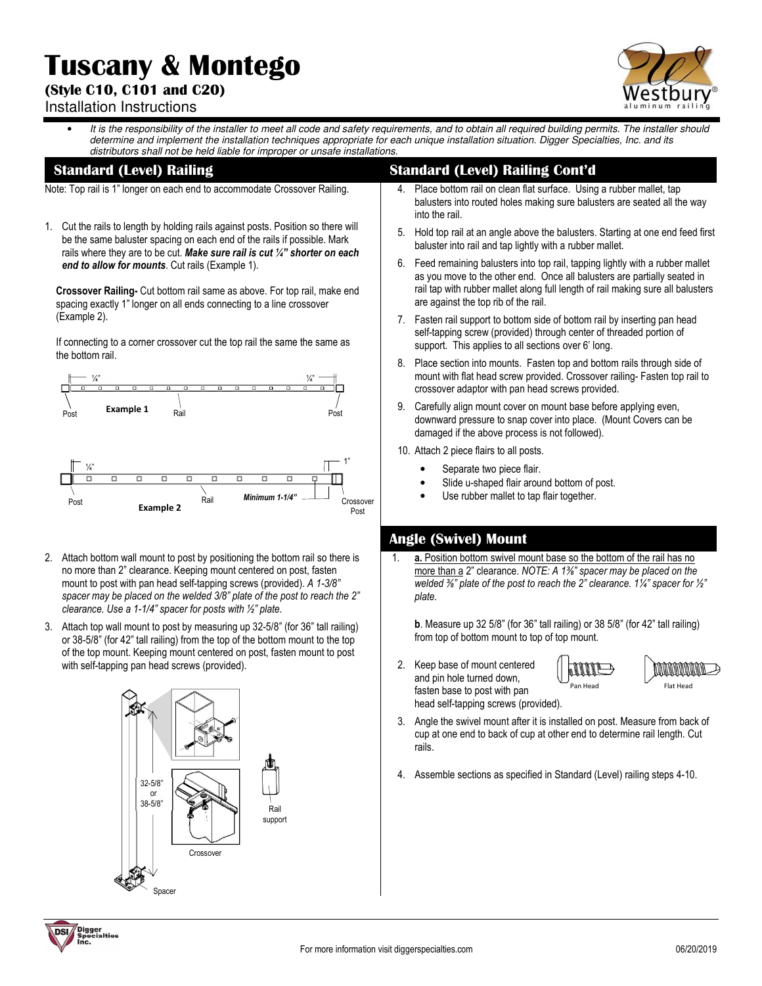# **Tuscany & Montego**

## **(Style C10, C101 and C20)**



### Installation Instructions

It is the responsibility of the installer to meet all code and safety requirements, and to obtain all required building permits. The installer should determine and implement the installation techniques appropriate for each unique installation situation. Digger Specialties, Inc. and its distributors shall not be held liable for improper or unsafe installations.

#### **Standard (Level) Railing**

Note: Top rail is 1" longer on each end to accommodate Crossover Railing.

1. Cut the rails to length by holding rails against posts. Position so there will be the same baluster spacing on each end of the rails if possible. Mark rails where they are to be cut. *Make sure rail is cut ¼" shorter on each end to allow for mounts*. Cut rails (Example 1).

**Crossover Railing-** Cut bottom rail same as above. For top rail, make end spacing exactly 1" longer on all ends connecting to a line crossover (Example 2).

If connecting to a corner crossover cut the top rail the same the same as the bottom rail.



- 2. Attach bottom wall mount to post by positioning the bottom rail so there is no more than 2" clearance. Keeping mount centered on post, fasten mount to post with pan head self-tapping screws (provided). *A 1-3/8" spacer may be placed on the welded 3/8" plate of the post to reach the 2" clearance. Use a 1-1/4" spacer for posts with ½" plate.*
- 3. Attach top wall mount to post by measuring up 32-5/8" (for 36" tall railing) or 38-5/8" (for 42" tall railing) from the top of the bottom mount to the top of the top mount. Keeping mount centered on post, fasten mount to post with self-tapping pan head screws (provided).



## **Standard (Level) Railing Cont'd**

- Place bottom rail on clean flat surface. Using a rubber mallet, tap balusters into routed holes making sure balusters are seated all the way into the rail.
- 5. Hold top rail at an angle above the balusters. Starting at one end feed first baluster into rail and tap lightly with a rubber mallet.
- 6. Feed remaining balusters into top rail, tapping lightly with a rubber mallet as you move to the other end. Once all balusters are partially seated in rail tap with rubber mallet along full length of rail making sure all balusters are against the top rib of the rail.
- 7. Fasten rail support to bottom side of bottom rail by inserting pan head self-tapping screw (provided) through center of threaded portion of support. This applies to all sections over 6' long.
- 8. Place section into mounts. Fasten top and bottom rails through side of mount with flat head screw provided. Crossover railing- Fasten top rail to crossover adaptor with pan head screws provided.
- 9. Carefully align mount cover on mount base before applying even, downward pressure to snap cover into place. (Mount Covers can be damaged if the above process is not followed).
- 10. Attach 2 piece flairs to all posts.
	- Separate two piece flair.
	- Slide u-shaped flair around bottom of post.
	- Use rubber mallet to tap flair together.

## **Angle (Swivel) Mount**

**a.** Position bottom swivel mount base so the bottom of the rail has no more than a 2" clearance. *NOTE: A 1⅜" spacer may be placed on the welded ⅜" plate of the post to reach the 2" clearance. 1¼" spacer for ½" plate.* 

**b**. Measure up 32 5/8" (for 36" tall railing) or 38 5/8" (for 42" tall railing) from top of bottom mount to top of top mount.

2. Keep base of mount centered and pin hole turned down, fasten base to post with pan head self-tapping screws (provided).





- 3. Angle the swivel mount after it is installed on post. Measure from back of cup at one end to back of cup at other end to determine rail length. Cut rails.
- 4. Assemble sections as specified in Standard (Level) railing steps 4-10.